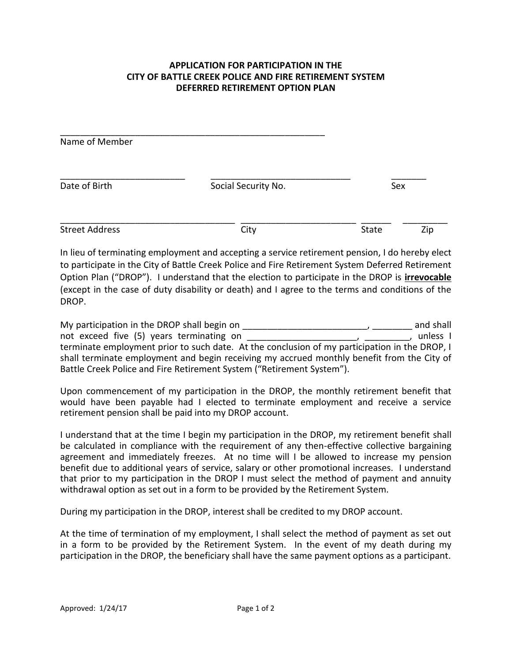## **APPLICATION FOR PARTICIPATION IN THE CITY OF BATTLE CREEK POLICE AND FIRE RETIREMENT SYSTEM DEFERRED RETIREMENT OPTION PLAN**

| Name of Member        |                     |       |     |
|-----------------------|---------------------|-------|-----|
| Date of Birth         | Social Security No. | Sex   |     |
| <b>Street Address</b> | City                | State | Zip |

In lieu of terminating employment and accepting a service retirement pension, I do hereby elect to participate in the City of Battle Creek Police and Fire Retirement System Deferred Retirement Option Plan ("DROP"). I understand that the election to participate in the DROP is **irrevocable** (except in the case of duty disability or death) and I agree to the terms and conditions of the DROP.

My participation in the DROP shall begin on \_\_\_\_\_\_\_\_\_\_\_\_\_\_\_\_\_\_\_\_\_\_\_\_\_, \_\_\_\_\_\_\_\_ and shall not exceed five (5) years terminating on  $\overline{a}$   $\overline{a}$   $\overline{a}$   $\overline{a}$   $\overline{a}$   $\overline{a}$   $\overline{a}$   $\overline{a}$   $\overline{a}$   $\overline{a}$   $\overline{a}$   $\overline{a}$   $\overline{a}$   $\overline{a}$   $\overline{a}$   $\overline{a}$   $\overline{a}$   $\overline{a}$   $\overline{a}$   $\overline{a}$  terminate employment prior to such date. At the conclusion of my participation in the DROP, I shall terminate employment and begin receiving my accrued monthly benefit from the City of Battle Creek Police and Fire Retirement System ("Retirement System").

Upon commencement of my participation in the DROP, the monthly retirement benefit that would have been payable had I elected to terminate employment and receive a service retirement pension shall be paid into my DROP account.

I understand that at the time I begin my participation in the DROP, my retirement benefit shall be calculated in compliance with the requirement of any then-effective collective bargaining agreement and immediately freezes. At no time will I be allowed to increase my pension benefit due to additional years of service, salary or other promotional increases. I understand that prior to my participation in the DROP I must select the method of payment and annuity withdrawal option as set out in a form to be provided by the Retirement System.

During my participation in the DROP, interest shall be credited to my DROP account.

At the time of termination of my employment, I shall select the method of payment as set out in a form to be provided by the Retirement System. In the event of my death during my participation in the DROP, the beneficiary shall have the same payment options as a participant.